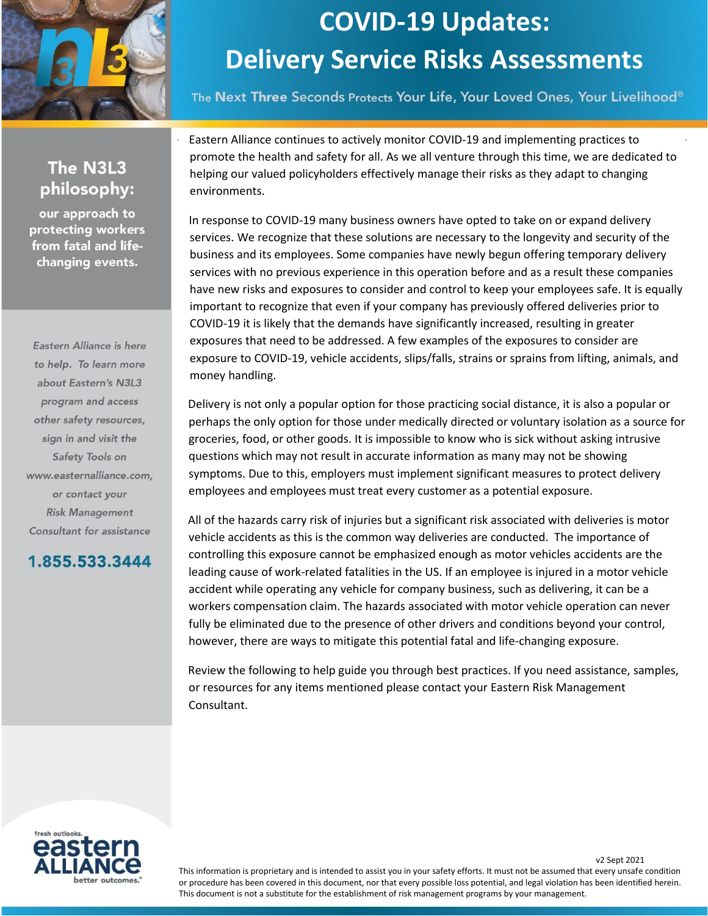

The Next Three Seconds Protects Your Life, Your Loved Ones, Your Livelihood®

#### The N3L3 philosophy:

our approach to protecting workers from fatal and lifechanging events.

Eastern Alliance is here to help. To learn more about Eastern's N3L3 program and access other safety resources, sign in and visit the Safety Tools on www.easternalliance.com, or contact your **Risk Management** Consultant for assistance

#### 1.855.533.3444

Eastern Alliance continues to actively monitor COVID-19 and implementing practices to promote the health and safety for all. As we all venture through this time, we are dedicated to helping our valued policyholders effectively manage their risks as they adapt to changing environments.

In response to COVID-19 many business owners have opted to take on or expand delivery services. We recognize that these solutions are necessary to the longevity and security of the business and its employees. Some companies have newly begun offering temporary delivery services with no previous experience in this operation before and as a result these companies have new risks and exposures to consider and control to keep your employees safe. It is equally important to recognize that even if your company has previously offered deliveries prior to COVID-19 it is likely that the demands have significantly increased, resulting in greater exposures that need to be addressed. A few examples of the exposures to consider are exposure to COVID-19, vehicle accidents, slips/falls, strains or sprains from lifting, animals, and money handling.

Delivery is not only a popular option for those practicing social distance, it is also a popular or perhaps the only option for those under medically directed or voluntary isolation as a source for groceries, food, or other goods. It is impossible to know who is sick without asking intrusive questions which may not result in accurate information as many may not be showing symptoms. Due to this, employers must implement significant measures to protect delivery employees and employees must treat every customer as a potential exposure.

All of the hazards carry risk of injuries but a significant risk associated with deliveries is motor vehicle accidents as this is the common way deliveries are conducted. The importance of controlling this exposure cannot be emphasized enough as motor vehicles accidents are the leading cause of work-related fatalities in the US. If an employee is injured in a motor vehicle accident while operating any vehicle for company business, such as delivering, it can be a workers compensation claim. The hazards associated with motor vehicle operation can never fully be eliminated due to the presence of other drivers and conditions beyond your control, however, there are ways to mitigate this potential fatal and life-changing exposure.

Review the following to help guide you through best practices. If you need assistance, samples, or resources for any items mentioned please contact your Eastern Risk Management Consultant.



v2 Sept 2021

This information is proprietary and is intended to assist you in your safety efforts. It must not be assumed that every unsafe condition or procedure has been covered in this document, nor that every possible loss potential, and legal violation has been identified herein. This document is not a substitute for the establishment of risk management programs by your management.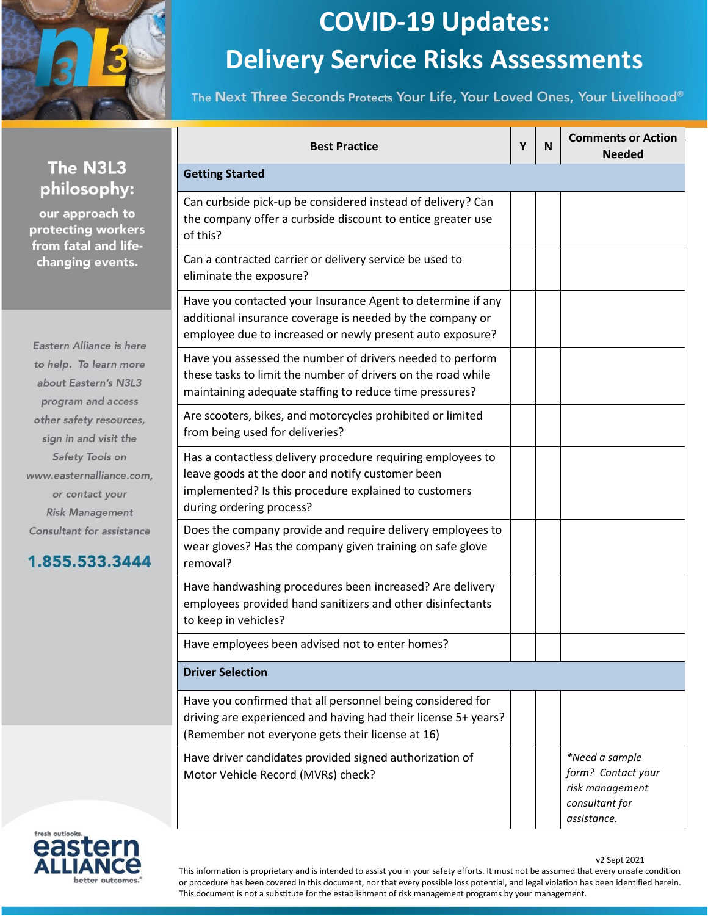

The Next Three Seconds Protects Your Life, Your Loved Ones, Your Livelihood®

|                                                                                                                                      | <b>Best Practice</b>                                                                                                                                                                                 | Υ | N | <b>Comments or Action</b><br><b>Needed</b>                                               |
|--------------------------------------------------------------------------------------------------------------------------------------|------------------------------------------------------------------------------------------------------------------------------------------------------------------------------------------------------|---|---|------------------------------------------------------------------------------------------|
| The N3L3                                                                                                                             | <b>Getting Started</b>                                                                                                                                                                               |   |   |                                                                                          |
| philosophy:<br>our approach to<br>rotecting workers<br>rom fatal and life-<br>changing events.<br>astern Alliance is here            | Can curbside pick-up be considered instead of delivery? Can<br>the company offer a curbside discount to entice greater use<br>of this?                                                               |   |   |                                                                                          |
|                                                                                                                                      | Can a contracted carrier or delivery service be used to<br>eliminate the exposure?                                                                                                                   |   |   |                                                                                          |
|                                                                                                                                      | Have you contacted your Insurance Agent to determine if any<br>additional insurance coverage is needed by the company or<br>employee due to increased or newly present auto exposure?                |   |   |                                                                                          |
| o help. To learn more<br>about Eastern's N3L3<br>program and access                                                                  | Have you assessed the number of drivers needed to perform<br>these tasks to limit the number of drivers on the road while<br>maintaining adequate staffing to reduce time pressures?                 |   |   |                                                                                          |
| other safety resources,<br>sign in and visit the                                                                                     | Are scooters, bikes, and motorcycles prohibited or limited<br>from being used for deliveries?                                                                                                        |   |   |                                                                                          |
| Safety Tools on<br>ww.easternalliance.com,<br>or contact your<br><b>Risk Management</b><br>onsultant for assistance<br>.855.533.3444 | Has a contactless delivery procedure requiring employees to<br>leave goods at the door and notify customer been<br>implemented? Is this procedure explained to customers<br>during ordering process? |   |   |                                                                                          |
|                                                                                                                                      | Does the company provide and require delivery employees to<br>wear gloves? Has the company given training on safe glove<br>removal?                                                                  |   |   |                                                                                          |
|                                                                                                                                      | Have handwashing procedures been increased? Are delivery<br>employees provided hand sanitizers and other disinfectants<br>to keep in vehicles?                                                       |   |   |                                                                                          |
|                                                                                                                                      | Have employees been advised not to enter homes?                                                                                                                                                      |   |   |                                                                                          |
|                                                                                                                                      | <b>Driver Selection</b>                                                                                                                                                                              |   |   |                                                                                          |
|                                                                                                                                      | Have you confirmed that all personnel being considered for<br>driving are experienced and having had their license 5+ years?<br>(Remember not everyone gets their license at 16)                     |   |   |                                                                                          |
|                                                                                                                                      | Have driver candidates provided signed authorization of<br>Motor Vehicle Record (MVRs) check?                                                                                                        |   |   | *Need a sample<br>form? Contact your<br>risk management<br>consultant for<br>assistance. |



W

 $\sqrt{2}$ 

v2 Sept 2021

This information is proprietary and is intended to assist you in your safety efforts. It must not be assumed that every unsafe condition or procedure has been covered in this document, nor that every possible loss potential, and legal violation has been identified herein. This document is not a substitute for the establishment of risk management programs by your management.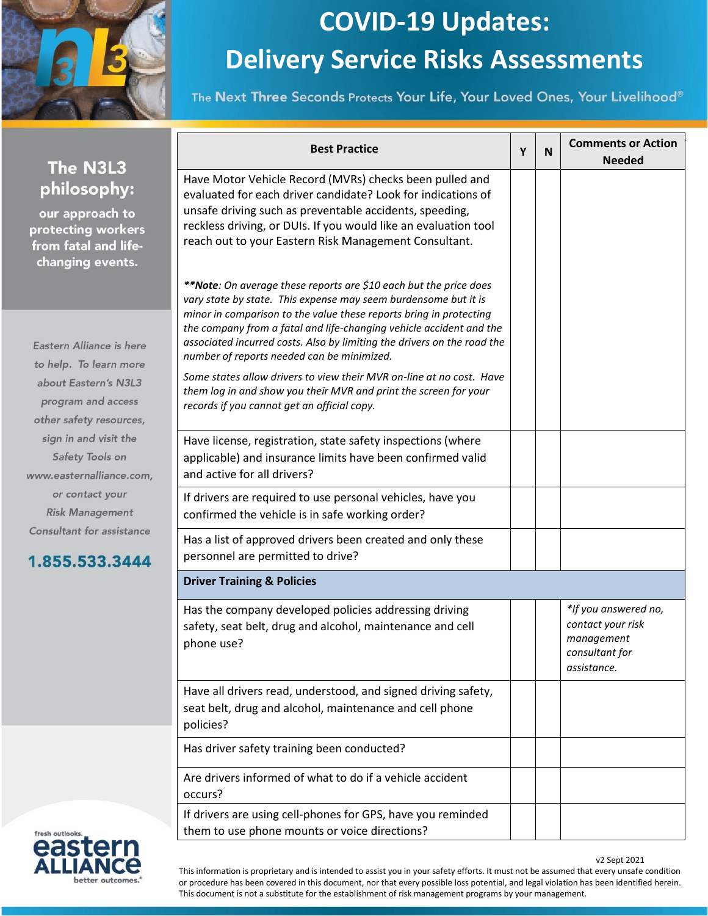

The Next Three Seconds Protects Your Life, Your Loved Ones, Your Livelihood®

| The N3L3                                                                                         | <b>Best Practice</b>                                                                                                                                                                                                                                                                                                                                                                                       | Y | N | <b>Comments or Action</b><br><b>Needed</b>                                               |
|--------------------------------------------------------------------------------------------------|------------------------------------------------------------------------------------------------------------------------------------------------------------------------------------------------------------------------------------------------------------------------------------------------------------------------------------------------------------------------------------------------------------|---|---|------------------------------------------------------------------------------------------|
| philosophy:<br>our approach to<br>protecting workers<br>from fatal and life-<br>changing events. | Have Motor Vehicle Record (MVRs) checks been pulled and<br>evaluated for each driver candidate? Look for indications of<br>unsafe driving such as preventable accidents, speeding,<br>reckless driving, or DUIs. If you would like an evaluation tool<br>reach out to your Eastern Risk Management Consultant.                                                                                             |   |   |                                                                                          |
| Eastern Alliance is here<br>to help. To learn more                                               | **Note: On average these reports are \$10 each but the price does<br>vary state by state. This expense may seem burdensome but it is<br>minor in comparison to the value these reports bring in protecting<br>the company from a fatal and life-changing vehicle accident and the<br>associated incurred costs. Also by limiting the drivers on the road the<br>number of reports needed can be minimized. |   |   |                                                                                          |
| about Eastern's N3L3<br>program and access<br>other safety resources,                            | Some states allow drivers to view their MVR on-line at no cost. Have<br>them log in and show you their MVR and print the screen for your<br>records if you cannot get an official copy.                                                                                                                                                                                                                    |   |   |                                                                                          |
| sign in and visit the<br>Safety Tools on<br>www.easternalliance.com,                             | Have license, registration, state safety inspections (where<br>applicable) and insurance limits have been confirmed valid<br>and active for all drivers?                                                                                                                                                                                                                                                   |   |   |                                                                                          |
| or contact your<br><b>Risk Management</b>                                                        | If drivers are required to use personal vehicles, have you<br>confirmed the vehicle is in safe working order?                                                                                                                                                                                                                                                                                              |   |   |                                                                                          |
| Consultant for assistance<br>1.855.533.3444                                                      | Has a list of approved drivers been created and only these<br>personnel are permitted to drive?                                                                                                                                                                                                                                                                                                            |   |   |                                                                                          |
|                                                                                                  | <b>Driver Training &amp; Policies</b>                                                                                                                                                                                                                                                                                                                                                                      |   |   |                                                                                          |
|                                                                                                  | Has the company developed policies addressing driving<br>safety, seat belt, drug and alcohol, maintenance and cell<br>phone use?                                                                                                                                                                                                                                                                           |   |   | *If you answered no,<br>contact your risk<br>management<br>consultant for<br>assistance. |
|                                                                                                  | Have all drivers read, understood, and signed driving safety,<br>seat belt, drug and alcohol, maintenance and cell phone<br>policies?                                                                                                                                                                                                                                                                      |   |   |                                                                                          |
|                                                                                                  | Has driver safety training been conducted?                                                                                                                                                                                                                                                                                                                                                                 |   |   |                                                                                          |
|                                                                                                  | Are drivers informed of what to do if a vehicle accident<br>occurs?                                                                                                                                                                                                                                                                                                                                        |   |   |                                                                                          |
| fresh outlooks.                                                                                  | If drivers are using cell-phones for GPS, have you reminded<br>them to use phone mounts or voice directions?                                                                                                                                                                                                                                                                                               |   |   |                                                                                          |



v2 Sept 2021

This information is proprietary and is intended to assist you in your safety efforts. It must not be assumed that every unsafe condition or procedure has been covered in this document, nor that every possible loss potential, and legal violation has been identified herein. This document is not a substitute for the establishment of risk management programs by your management.